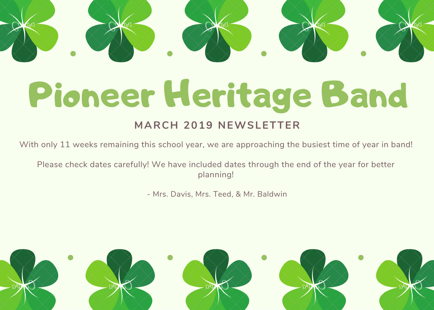# Pioneer Heritage Band

#### **MARCH 2019 NEWSLETTER**

With only 11 weeks remaining this school year, we are approaching the busiest time of year in band!

Please check dates carefully! We have included dates through the end of the year for better planning!

- Mrs. Davis, Mrs. Teed, & Mr. Baldwin

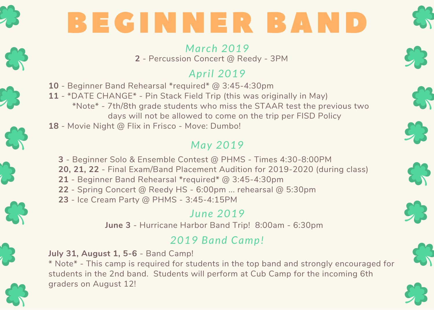

## BEGINNER BAND

*March 2019* **2** - Percussion Concert @ Reedy - 3PM

## *April 2019*

- **10** Beginner Band Rehearsal \*required\* @ 3:45-4:30pm
- **11** \*DATE CHANGE\* Pin Stack Field Trip (this was originally in May) \*Note\* - 7th/8th grade students who miss the STAAR test the previous two
	- days will not be allowed to come on the trip per FISD Policy
- **18** Movie Night @ Flix in Frisco Move: Dumbo!

## *May 2019*

- **3** Beginner Solo & Ensemble Contest @ PHMS Times 4:30-8:00PM
- **20, 21, 22** Final Exam/Band Placement Audition for 2019-2020 (during class)
- **21** Beginner Band Rehearsal \*required\* @ 3:45-4:30pm
- **22** Spring Concert @ Reedy HS 6:00pm ... rehearsal @ 5:30pm
- **23** Ice Cream Party @ PHMS 3:45-4:15PM

#### *June 2019*

**June 3** - Hurricane Harbor Band Trip! 8:00am - 6:30pm

## *2019 Band Camp!*

**July 31, August 1, 5-6** - Band Camp!

\* Note\* - This camp is required for students in the top band and strongly encouraged for students in the 2nd band. Students will perform at Cub Camp for the incoming 6th graders on August 12!











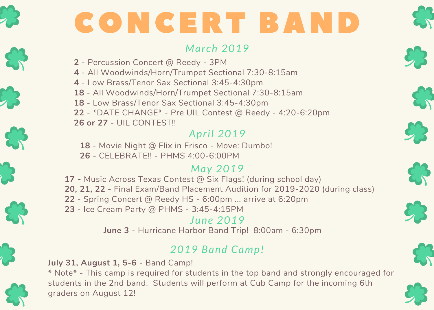

## CONCERT BAND

#### *March 2019*

- **2** Percussion Concert @ Reedy 3PM
- **4** All Woodwinds/Horn/Trumpet Sectional 7:30-8:15am
- **4** Low Brass/Tenor Sax Sectional 3:45-4:30pm
- **18** All Woodwinds/Horn/Trumpet Sectional 7:30-8:15am
- **18** Low Brass/Tenor Sax Sectional 3:45-4:30pm
- **22** \*DATE CHANGE\* Pre UIL Contest @ Reedy 4:20-6:20pm
- **26 or 27** UIL CONTEST!!

#### *April 2019*

- **18** Movie Night @ Flix in Frisco Move: Dumbo!
- **26** CELEBRATE!! PHMS 4:00-6:00PM

#### *May 2019*

- **17 -** Music Across Texas Contest @ Six Flags! (during school day)
- **20, 21, 22** Final Exam/Band Placement Audition for 2019-2020 (during class)
- **22** Spring Concert @ Reedy HS 6:00pm ... arrive at 6:20pm
- **23** Ice Cream Party @ PHMS 3:45-4:15PM

#### *June 2019* **June 3** - Hurricane Harbor Band Trip! 8:00am - 6:30pm

## *2019 Band Camp!*

#### **July 31, August 1, 5-6** - Band Camp!

\* Note\* - This camp is required for students in the top band and strongly encouraged for students in the 2nd band. Students will perform at Cub Camp for the incoming 6th graders on August 12!